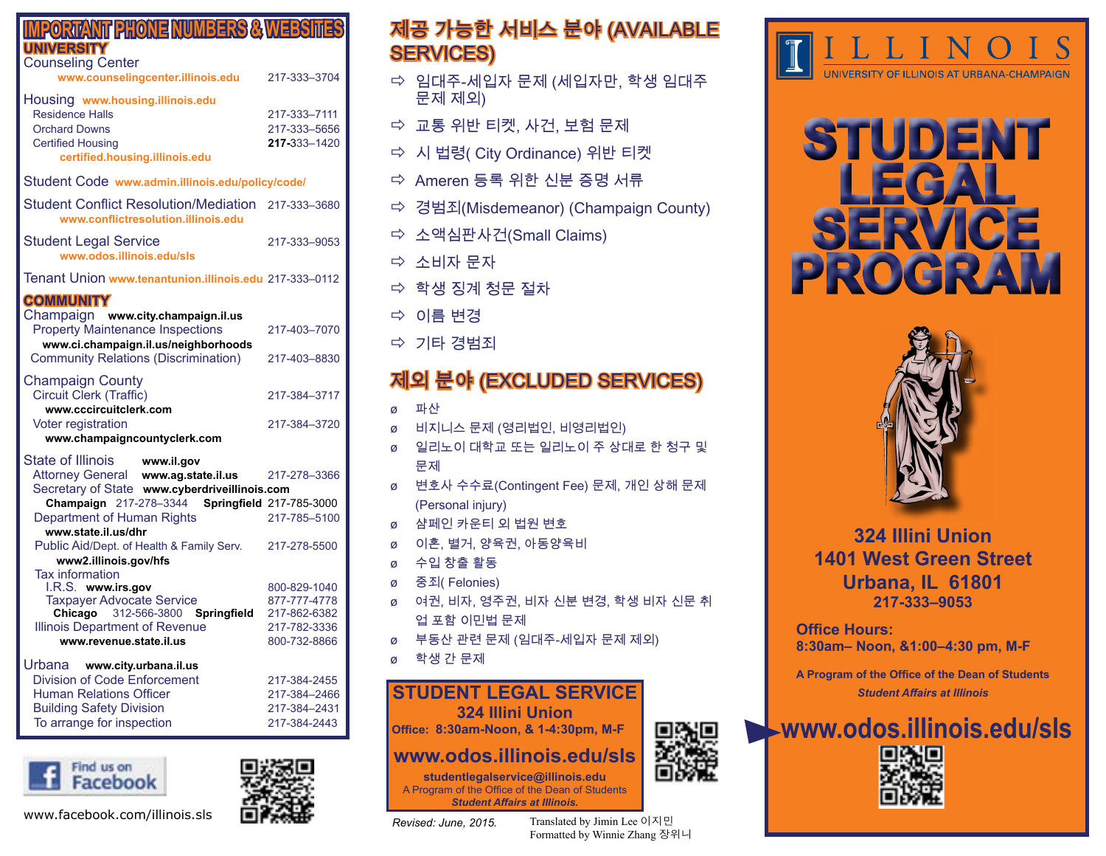| <b>MPORTANT PHONE NUMBERS &amp; WEBSITES</b><br><b>UNIVERSITY</b><br><b>Counseling Center</b><br>www.counselingcenter.illinois.edu                                                                 | 217-333-3704                                                                 |
|----------------------------------------------------------------------------------------------------------------------------------------------------------------------------------------------------|------------------------------------------------------------------------------|
| Housing www.housing.illinois.edu<br><b>Residence Halls</b><br><b>Orchard Downs</b><br><b>Certified Housing</b><br>certified.housing.illinois.edu                                                   | 217-333-7111<br>217-333-5656<br>217-333-1420                                 |
| Student Code www.admin.illinois.edu/policy/code/                                                                                                                                                   |                                                                              |
| <b>Student Conflict Resolution/Mediation</b><br>www.conflictresolution.illinois.edu                                                                                                                | 217-333-3680                                                                 |
| <b>Student Legal Service</b><br>www.odos.illinois.edu/sls                                                                                                                                          | 217-333-9053                                                                 |
| Tenant Union www.tenantunion.illinois.edu 217-333-0112                                                                                                                                             |                                                                              |
| <b>COMMUNITY</b><br>Champaign www.city.champaign.il.us<br><b>Property Maintenance Inspections</b>                                                                                                  | 217-403-7070                                                                 |
| www.ci.champaign.il.us/neighborhoods<br><b>Community Relations (Discrimination)</b>                                                                                                                | 217-403-8830                                                                 |
| <b>Champaign County</b><br>Circuit Clerk (Traffic)<br>www.cccircuitclerk.com                                                                                                                       | 217-384-3717                                                                 |
| <b>Voter registration</b><br>www.champaigncountyclerk.com                                                                                                                                          | 217-384-3720                                                                 |
| State of Illinois<br>www.il.gov<br>Attorney General www.ag.state.il.us<br>Secretary of State www.cyberdriveillinois.com                                                                            | 217-278-3366                                                                 |
| Champaign 217-278-3344<br>Department of Human Rights                                                                                                                                               | Springfield 217-785-3000<br>217-785-5100                                     |
| www.state.il.us/dhr<br>Public Aid/Dept. of Health & Family Serv.<br>www2.illinois.gov/hfs                                                                                                          | 217-278-5500                                                                 |
| <b>Tax information</b><br>I.R.S. www.irs.gov<br><b>Taxpayer Advocate Service</b><br>Chicago 312-566-3800<br><b>Springfield</b><br><b>Illinois Department of Revenue</b><br>www.revenue.state.il.us | 800-829-1040<br>877-777-4778<br>217-862-6382<br>217-782-3336<br>800-732-8866 |
| Urbana www.city.urbana.il.us<br><b>Division of Code Enforcement</b><br><b>Human Relations Officer</b><br><b>Building Safety Division</b><br>To arrange for inspection                              | 217-384-2455<br>217-384-2466<br>217-384-2431<br>217-384-2443                 |



# 제공 가능한 서비스 분야 (AVAILABLE SERVICES)

- 임대주-세입자 문제 (세입자만, 학생 임대주 문제 제외)
- $\Rightarrow$  교통 위반 티켓, 사건, 보험 문제
- 시 법령( City Ordinance) 위반 티켓
- $\Rightarrow$  Ameren 등록 위한 신분 증명 서류
- 경범죄(Misdemeanor) (Champaign County)
- 소액심판사건(Small Claims)
- 소비자 문자
- 학생 징계 청문 절차
- 이름 변경
- 기타 경범죄

# 제외 분야 (EXCLUDED SERVICES)

- ø 파산
- ø 비지니스 문제 (영리법인, 비영리법인)
- ø 일리노이 대학교 또는 일리노이 주 상대로 한 청구 및 문제
- ø 변호사 수수료(Contingent Fee) 문제, 개인 상해 문제 (Personal injury)
- ø 샴페인 카운티 외 법원 변호
- ø 이혼, 별거, 양육권, 아동양육비
- ø 수입 창출 활동
- ø 중죄( Felonies)
- ø 여권, 비자, 영주권, 비자 신분 변경, 학생 비자 신문 취 업 포함 이민법 문제
- ø 부동산 관련 문제 (임대주-세입자 문제 제외)
- ø 학생 간 문제

### **STUDENT LEGAL SERVICE**

**324 Illini Union**

**Office: 8:30am-Noon, & 1-4:30pm, M-F**

# **www.odos.illinois.edu/sls**

**studentlegalservice@illinois.edu** A Program of the Office of the Dean of Students *Student Affairs at Illinois.*

*Revised: June, 2015.*

www.facebook.com/illinois.sls Translated by Jimin Lee 이지민 Formatted by Winnie Zhang 장위니



# **STUDENT LEGAL SERVICE PROGRAM**



**324 Illini Union 1401 West Green Street Urbana, IL 61801 217-333–9053**

**Office Hours: 8:30am– Noon, &1:00–4:30 pm, M-F**

**A Program of the Office of the Dean of Students** *Student Affairs at Illinois*